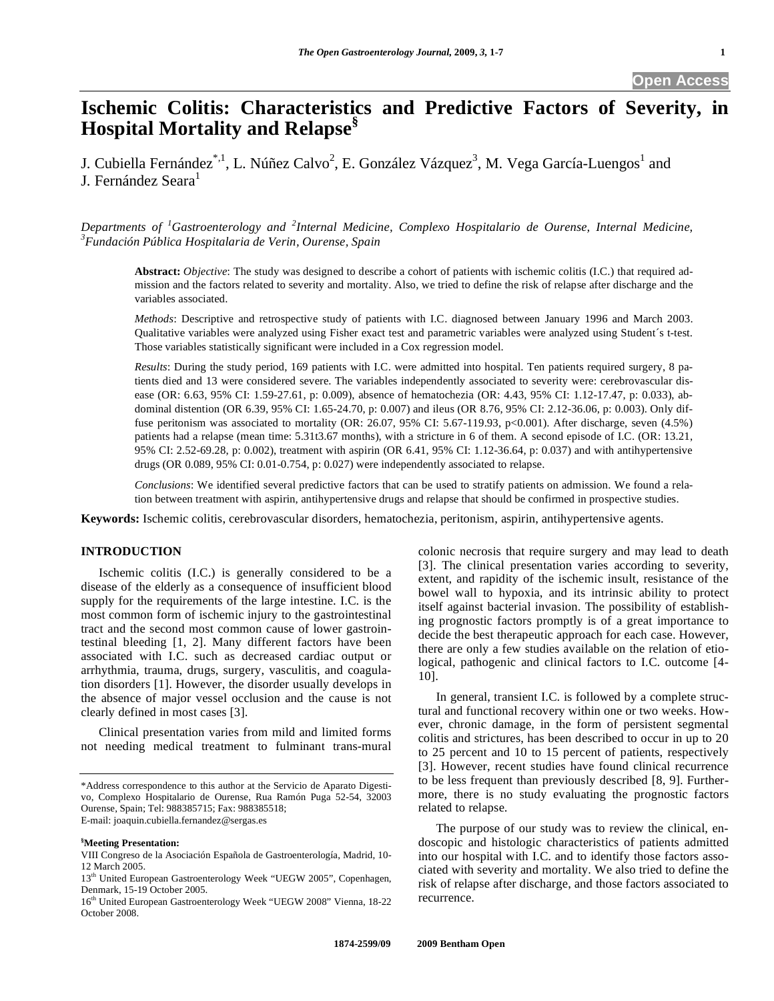# **Ischemic Colitis: Characteristics and Predictive Factors of Severity, in Hospital Mortality and Relapse§**

J. Cubiella Fernández $^{*,1}$ , L. Núñez Calvo<sup>2</sup>, E. González Vázquez<sup>3</sup>, M. Vega García-Luengos<sup>1</sup> and J. Fernández Seara<sup>1</sup>

*Departments of <sup>1</sup> Gastroenterology and <sup>2</sup> Internal Medicine, Complexo Hospitalario de Ourense, Internal Medicine, 3 Fundación Pública Hospitalaria de Verin, Ourense, Spain* 

**Abstract:** *Objective*: The study was designed to describe a cohort of patients with ischemic colitis (I.C.) that required admission and the factors related to severity and mortality. Also, we tried to define the risk of relapse after discharge and the variables associated.

*Methods*: Descriptive and retrospective study of patients with I.C. diagnosed between January 1996 and March 2003. Qualitative variables were analyzed using Fisher exact test and parametric variables were analyzed using Student´s t-test. Those variables statistically significant were included in a Cox regression model.

*Results*: During the study period, 169 patients with I.C. were admitted into hospital. Ten patients required surgery, 8 patients died and 13 were considered severe. The variables independently associated to severity were: cerebrovascular disease (OR: 6.63, 95% CI: 1.59-27.61, p: 0.009), absence of hematochezia (OR: 4.43, 95% CI: 1.12-17.47, p: 0.033), abdominal distention (OR 6.39, 95% CI: 1.65-24.70, p: 0.007) and ileus (OR 8.76, 95% CI: 2.12-36.06, p: 0.003). Only diffuse peritonism was associated to mortality (OR: 26.07, 95% CI: 5.67-119.93, p<0.001). After discharge, seven (4.5%) patients had a relapse (mean time: 5.31t3.67 months), with a stricture in 6 of them. A second episode of I.C. (OR: 13.21, 95% CI: 2.52-69.28, p: 0.002), treatment with aspirin (OR 6.41, 95% CI: 1.12-36.64, p: 0.037) and with antihypertensive drugs (OR 0.089, 95% CI: 0.01-0.754, p: 0.027) were independently associated to relapse.

*Conclusions*: We identified several predictive factors that can be used to stratify patients on admission. We found a relation between treatment with aspirin, antihypertensive drugs and relapse that should be confirmed in prospective studies.

**Keywords:** Ischemic colitis, cerebrovascular disorders, hematochezia, peritonism, aspirin, antihypertensive agents.

# **INTRODUCTION**

 Ischemic colitis (I.C.) is generally considered to be a disease of the elderly as a consequence of insufficient blood supply for the requirements of the large intestine. I.C. is the most common form of ischemic injury to the gastrointestinal tract and the second most common cause of lower gastrointestinal bleeding [1, 2]. Many different factors have been associated with I.C. such as decreased cardiac output or arrhythmia, trauma, drugs, surgery, vasculitis, and coagulation disorders [1]. However, the disorder usually develops in the absence of major vessel occlusion and the cause is not clearly defined in most cases [3].

 Clinical presentation varies from mild and limited forms not needing medical treatment to fulminant trans-mural

#### **§ Meeting Presentation:**

colonic necrosis that require surgery and may lead to death [3]. The clinical presentation varies according to severity, extent, and rapidity of the ischemic insult, resistance of the bowel wall to hypoxia, and its intrinsic ability to protect itself against bacterial invasion. The possibility of establishing prognostic factors promptly is of a great importance to decide the best therapeutic approach for each case. However, there are only a few studies available on the relation of etiological, pathogenic and clinical factors to I.C. outcome [4- 10].

 In general, transient I.C. is followed by a complete structural and functional recovery within one or two weeks. However, chronic damage, in the form of persistent segmental colitis and strictures, has been described to occur in up to 20 to 25 percent and 10 to 15 percent of patients, respectively [3]. However, recent studies have found clinical recurrence to be less frequent than previously described [8, 9]. Furthermore, there is no study evaluating the prognostic factors related to relapse.

 The purpose of our study was to review the clinical, endoscopic and histologic characteristics of patients admitted into our hospital with I.C. and to identify those factors associated with severity and mortality. We also tried to define the risk of relapse after discharge, and those factors associated to recurrence.

<sup>\*</sup>Address correspondence to this author at the Servicio de Aparato Digestivo, Complexo Hospitalario de Ourense, Rua Ramón Puga 52-54, 32003 Ourense, Spain; Tel: 988385715; Fax: 988385518; E-mail: joaquin.cubiella.fernandez@sergas.es

VIII Congreso de la Asociación Española de Gastroenterología, Madrid, 10- 12 March 2005.

<sup>13&</sup>lt;sup>th</sup> United European Gastroenterology Week "UEGW 2005", Copenhagen, Denmark, 15-19 October 2005.

<sup>16</sup>th United European Gastroenterology Week "UEGW 2008" Vienna, 18-22 October 2008.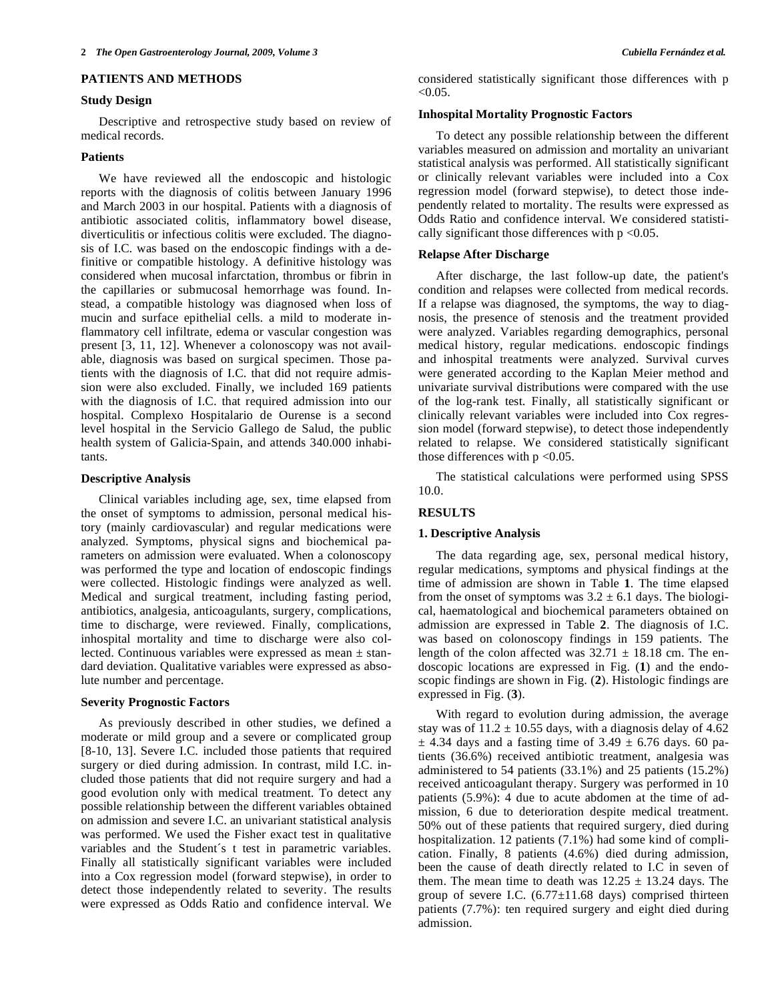#### **PATIENTS AND METHODS**

#### **Study Design**

 Descriptive and retrospective study based on review of medical records.

#### **Patients**

 We have reviewed all the endoscopic and histologic reports with the diagnosis of colitis between January 1996 and March 2003 in our hospital. Patients with a diagnosis of antibiotic associated colitis, inflammatory bowel disease, diverticulitis or infectious colitis were excluded. The diagnosis of I.C. was based on the endoscopic findings with a definitive or compatible histology. A definitive histology was considered when mucosal infarctation, thrombus or fibrin in the capillaries or submucosal hemorrhage was found. Instead, a compatible histology was diagnosed when loss of mucin and surface epithelial cells. a mild to moderate inflammatory cell infiltrate, edema or vascular congestion was present [3, 11, 12]. Whenever a colonoscopy was not available, diagnosis was based on surgical specimen. Those patients with the diagnosis of I.C. that did not require admission were also excluded. Finally, we included 169 patients with the diagnosis of I.C. that required admission into our hospital. Complexo Hospitalario de Ourense is a second level hospital in the Servicio Gallego de Salud, the public health system of Galicia-Spain, and attends 340.000 inhabitants.

#### **Descriptive Analysis**

 Clinical variables including age, sex, time elapsed from the onset of symptoms to admission, personal medical history (mainly cardiovascular) and regular medications were analyzed. Symptoms, physical signs and biochemical parameters on admission were evaluated. When a colonoscopy was performed the type and location of endoscopic findings were collected. Histologic findings were analyzed as well. Medical and surgical treatment, including fasting period, antibiotics, analgesia, anticoagulants, surgery, complications, time to discharge, were reviewed. Finally, complications, inhospital mortality and time to discharge were also collected. Continuous variables were expressed as mean ± standard deviation. Qualitative variables were expressed as absolute number and percentage.

#### **Severity Prognostic Factors**

 As previously described in other studies, we defined a moderate or mild group and a severe or complicated group [8-10, 13]. Severe I.C. included those patients that required surgery or died during admission. In contrast, mild I.C. included those patients that did not require surgery and had a good evolution only with medical treatment. To detect any possible relationship between the different variables obtained on admission and severe I.C. an univariant statistical analysis was performed. We used the Fisher exact test in qualitative variables and the Student´s t test in parametric variables. Finally all statistically significant variables were included into a Cox regression model (forward stepwise), in order to detect those independently related to severity. The results were expressed as Odds Ratio and confidence interval. We

considered statistically significant those differences with p  $< 0.05$ .

#### **Inhospital Mortality Prognostic Factors**

 To detect any possible relationship between the different variables measured on admission and mortality an univariant statistical analysis was performed. All statistically significant or clinically relevant variables were included into a Cox regression model (forward stepwise), to detect those independently related to mortality. The results were expressed as Odds Ratio and confidence interval. We considered statistically significant those differences with  $p < 0.05$ .

# **Relapse After Discharge**

 After discharge, the last follow-up date, the patient's condition and relapses were collected from medical records. If a relapse was diagnosed, the symptoms, the way to diagnosis, the presence of stenosis and the treatment provided were analyzed. Variables regarding demographics, personal medical history, regular medications. endoscopic findings and inhospital treatments were analyzed. Survival curves were generated according to the Kaplan Meier method and univariate survival distributions were compared with the use of the log-rank test. Finally, all statistically significant or clinically relevant variables were included into Cox regression model (forward stepwise), to detect those independently related to relapse. We considered statistically significant those differences with  $p \le 0.05$ .

 The statistical calculations were performed using SPSS 10.0.

## **RESULTS**

#### **1. Descriptive Analysis**

 The data regarding age, sex, personal medical history, regular medications, symptoms and physical findings at the time of admission are shown in Table **1**. The time elapsed from the onset of symptoms was  $3.2 \pm 6.1$  days. The biological, haematological and biochemical parameters obtained on admission are expressed in Table **2**. The diagnosis of I.C. was based on colonoscopy findings in 159 patients. The length of the colon affected was  $32.71 \pm 18.18$  cm. The endoscopic locations are expressed in Fig. (**1**) and the endoscopic findings are shown in Fig. (**2**). Histologic findings are expressed in Fig. (**3**).

 With regard to evolution during admission, the average stay was of  $11.2 \pm 10.55$  days, with a diagnosis delay of 4.62  $\pm$  4.34 days and a fasting time of 3.49  $\pm$  6.76 days. 60 patients (36.6%) received antibiotic treatment, analgesia was administered to 54 patients (33.1%) and 25 patients (15.2%) received anticoagulant therapy. Surgery was performed in 10 patients (5.9%): 4 due to acute abdomen at the time of admission, 6 due to deterioration despite medical treatment. 50% out of these patients that required surgery, died during hospitalization. 12 patients (7.1%) had some kind of complication. Finally, 8 patients (4.6%) died during admission, been the cause of death directly related to I.C in seven of them. The mean time to death was  $12.25 \pm 13.24$  days. The group of severe I.C.  $(6.77 \pm 11.68$  days) comprised thirteen patients (7.7%): ten required surgery and eight died during admission.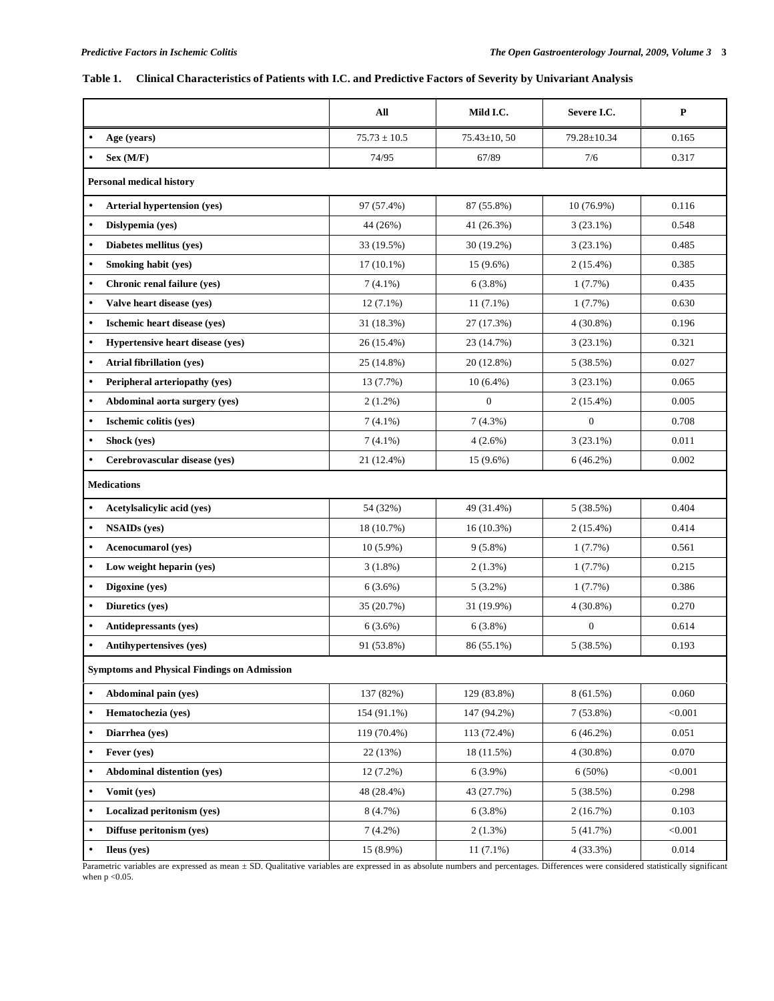# **Table 1. Clinical Characteristics of Patients with I.C. and Predictive Factors of Severity by Univariant Analysis**

|                                                    | All              | Mild I.C.        | Severe I.C.      | ${\bf P}$ |  |  |  |
|----------------------------------------------------|------------------|------------------|------------------|-----------|--|--|--|
| Age (years)                                        | $75.73 \pm 10.5$ | 75.43±10, 50     | 79.28±10.34      | 0.165     |  |  |  |
| Sex (M/F)                                          | 74/95            | 67/89            | 7/6              | 0.317     |  |  |  |
| <b>Personal medical history</b>                    |                  |                  |                  |           |  |  |  |
| <b>Arterial hypertension (yes)</b><br>$\bullet$    | 97 (57.4%)       | 87 (55.8%)       | 10 (76.9%)       | 0.116     |  |  |  |
| Dislypemia (yes)                                   | 44 (26%)         | 41 (26.3%)       | $3(23.1\%)$      | 0.548     |  |  |  |
| Diabetes mellitus (yes)                            | 33 (19.5%)       | 30 (19.2%)       | $3(23.1\%)$      | 0.485     |  |  |  |
| Smoking habit (yes)<br>$\bullet$                   | $17(10.1\%)$     | $15(9.6\%)$      | $2(15.4\%)$      | 0.385     |  |  |  |
| Chronic renal failure (yes)<br>$\bullet$           | $7(4.1\%)$       | 6(3.8%)          | $1(7.7\%)$       | 0.435     |  |  |  |
| Valve heart disease (yes)                          | $12(7.1\%)$      | $11(7.1\%)$      | $1(7.7\%)$       | 0.630     |  |  |  |
| Ischemic heart disease (yes)                       | 31 (18.3%)       | 27 (17.3%)       | $4(30.8\%)$      | 0.196     |  |  |  |
| Hypertensive heart disease (yes)                   | 26 (15.4%)       | 23 (14.7%)       | $3(23.1\%)$      | 0.321     |  |  |  |
| <b>Atrial fibrillation (ves)</b>                   | 25 (14.8%)       | 20 (12.8%)       | 5(38.5%)         | 0.027     |  |  |  |
| Peripheral arteriopathy (yes)                      | 13 (7.7%)        | $10(6.4\%)$      | $3(23.1\%)$      | 0.065     |  |  |  |
| Abdominal aorta surgery (yes)<br>$\bullet$         | $2(1.2\%)$       | $\boldsymbol{0}$ | $2(15.4\%)$      | 0.005     |  |  |  |
| Ischemic colitis (yes)<br>۰                        | $7(4.1\%)$       | 7(4.3%)          | $\overline{0}$   | 0.708     |  |  |  |
| Shock (yes)                                        | $7(4.1\%)$       | 4(2.6%)          | $3(23.1\%)$      | 0.011     |  |  |  |
| Cerebrovascular disease (yes)                      | 21 (12.4%)       | 15 (9.6%)        | 6(46.2%)         | 0.002     |  |  |  |
| <b>Medications</b>                                 |                  |                  |                  |           |  |  |  |
| Acetylsalicylic acid (yes)<br>$\bullet$            | 54 (32%)         | 49 (31.4%)       | 5(38.5%)         | 0.404     |  |  |  |
| <b>NSAIDs</b> (yes)                                | 18 (10.7%)       | $16(10.3\%)$     | $2(15.4\%)$      | 0.414     |  |  |  |
| <b>Acenocumarol</b> (yes)                          | $10(5.9\%)$      | $9(5.8\%)$       | 1(7.7%)          | 0.561     |  |  |  |
| Low weight heparin (yes)                           | $3(1.8\%)$       | $2(1.3\%)$       | 1(7.7%)          | 0.215     |  |  |  |
| Digoxine (yes)                                     | 6(3.6%)          | $5(3.2\%)$       | 1(7.7%)          | 0.386     |  |  |  |
| Diuretics (yes)<br>$\bullet$                       | 35 (20.7%)       | 31 (19.9%)       | $4(30.8\%)$      | 0.270     |  |  |  |
| Antidepressants (yes)<br>$\bullet$                 | $6(3.6\%)$       | 6(3.8%)          | $\boldsymbol{0}$ | 0.614     |  |  |  |
| <b>Antihypertensives (yes)</b>                     | 91 (53.8%)       | 86 (55.1%)       | 5(38.5%)         | 0.193     |  |  |  |
| <b>Symptoms and Physical Findings on Admission</b> |                  |                  |                  |           |  |  |  |
| Abdominal pain (ves)<br>$\bullet$                  | 137 (82%)        | 129 (83.8%)      | 8 (61.5%)        | 0.060     |  |  |  |
| Hematochezia (yes)<br>$\bullet$                    | 154 (91.1%)      | 147 (94.2%)      | 7(53.8%)         | < 0.001   |  |  |  |
| Diarrhea (ves)<br>$\bullet$                        | 119 (70.4%)      | 113 (72.4%)      | 6(46.2%)         | 0.051     |  |  |  |
| Fever (ves)                                        | 22(13%)          | 18 (11.5%)       | $4(30.8\%)$      | 0.070     |  |  |  |
| <b>Abdominal distention (yes)</b><br>$\bullet$     | 12 (7.2%)        | $6(3.9\%)$       | $6(50\%)$        | < 0.001   |  |  |  |
| Vomit (yes)<br>$\bullet$                           | 48 (28.4%)       | 43 (27.7%)       | 5(38.5%)         | 0.298     |  |  |  |
| Localizad peritonism (yes)<br>$\bullet$            | 8 (4.7%)         | $6(3.8\%)$       | 2(16.7%)         | 0.103     |  |  |  |
| Diffuse peritonism (yes)<br>$\bullet$              | $7(4.2\%)$       | $2(1.3\%)$       | 5(41.7%)         | < 0.001   |  |  |  |
| Ileus (yes)                                        | 15 (8.9%)        | $11(7.1\%)$      | 4(33.3%)         | 0.014     |  |  |  |

Parametric variables are expressed as mean ± SD. Qualitative variables are expressed in as absolute numbers and percentages. Differences were considered statistically significant when  $\rm p$  <0.05.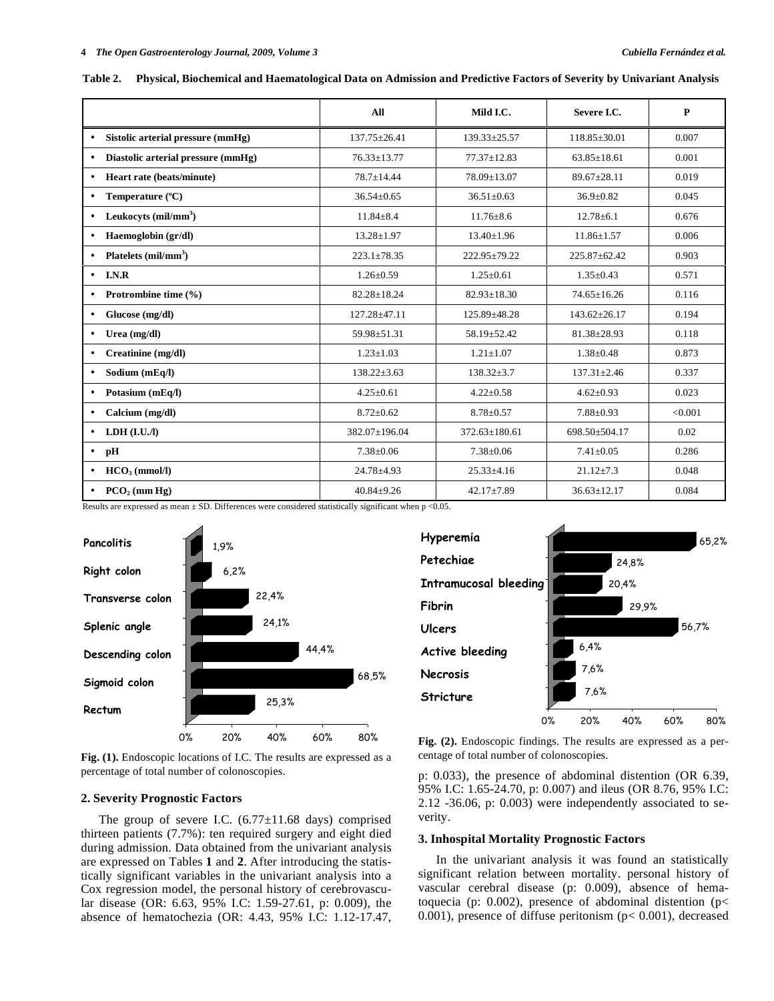|                                                 | All                | Mild I.C.           | Severe I.C.        | $\mathbf{P}$ |
|-------------------------------------------------|--------------------|---------------------|--------------------|--------------|
| Sistolic arterial pressure (mmHg)<br>$\bullet$  | $137.75 \pm 26.41$ | $139.33 \pm 25.57$  | $118.85 \pm 30.01$ | 0.007        |
| Diastolic arterial pressure (mmHg)<br>$\bullet$ | $76.33 \pm 13.77$  | $77.37 \pm 12.83$   | $63.85 \pm 18.61$  | 0.001        |
| Heart rate (beats/minute)<br>$\bullet$          | $78.7 \pm 14.44$   | $78.09 \pm 13.07$   | $89.67 + 28.11$    | 0.019        |
| Temperature (°C)<br>$\bullet$                   | $36.54 \pm 0.65$   | $36.51 \pm 0.63$    | $36.9 \pm 0.82$    | 0.045        |
| Leukocyts $(mil/mm3)$<br>$\bullet$              | $11.84 + 8.4$      | $11.76 \pm 8.6$     | $12.78 + 6.1$      | 0.676        |
| Haemoglobin (gr/dl)<br>$\bullet$                | $13.28 \pm 1.97$   | $13.40 \pm 1.96$    | $11.86 \pm 1.57$   | 0.006        |
| Platelets $(mil/mm3)$<br>$\bullet$              | $223.1 \pm 78.35$  | 222.95±79.22        | 225.87±62.42       | 0.903        |
| I.N.R<br>$\bullet$                              | $1.26 \pm 0.59$    | $1.25 \pm 0.61$     | $1.35 \pm 0.43$    | 0.571        |
| Protrombine time (%)<br>$\bullet$               | $82.28 \pm 18.24$  | $82.93 \pm 18.30$   | $74.65 \pm 16.26$  | 0.116        |
| Glucose (mg/dl)<br>$\bullet$                    | 127.28±47.11       | 125.89±48.28        | $143.62 \pm 26.17$ | 0.194        |
| Urea $(mg/dl)$<br>$\bullet$                     | 59.98+51.31        | 58.19±52.42         | $81.38 \pm 28.93$  | 0.118        |
| Creatinine (mg/dl)<br>$\bullet$                 | $1.23 \pm 1.03$    | $1.21 \pm 1.07$     | $1.38 \pm 0.48$    | 0.873        |
| Sodium (mEq/l)<br>$\bullet$                     | $138.22 \pm 3.63$  | $138.32 \pm 3.7$    | $137.31 \pm 2.46$  | 0.337        |
| Potasium (mEq/l)<br>$\bullet$                   | $4.25 \pm 0.61$    | $4.22 \pm 0.58$     | $4.62 \pm 0.93$    | 0.023        |
| Calcium (mg/dl)<br>$\bullet$                    | $8.72 \pm 0.62$    | $8.78 \pm 0.57$     | $7.88 \pm 0.93$    | < 0.001      |
| LDH (I.U.J)<br>$\bullet$                        | 382.07±196.04      | $372.63 \pm 180.61$ | 698.50±504.17      | 0.02         |
| pH<br>$\bullet$                                 | $7.38 \pm 0.06$    | $7.38 \pm 0.06$     | $7.41 \pm 0.05$    | 0.286        |
| $HCO3$ (mmol/l)<br>$\bullet$                    | $24.78 + 4.93$     | $25.33 \pm 4.16$    | $21.12 \pm 7.3$    | 0.048        |
| $PCO2$ (mm Hg)<br>$\bullet$                     | $40.84 + 9.26$     | $42.17 \pm 7.89$    | $36.63 \pm 12.17$  | 0.084        |

**Table 2. Physical, Biochemical and Haematological Data on Admission and Predictive Factors of Severity by Univariant Analysis** 

Results are expressed as mean  $\pm$  SD. Differences were considered statistically significant when p <0.05.



**Fig. (1).** Endoscopic locations of I.C. The results are expressed as a percentage of total number of colonoscopies.



centage of total number of colonoscopies.

# **2. Severity Prognostic Factors**

The group of severe I.C.  $(6.77 \pm 11.68$  days) comprised thirteen patients (7.7%): ten required surgery and eight died during admission. Data obtained from the univariant analysis are expressed on Tables **1** and **2**. After introducing the statistically significant variables in the univariant analysis into a Cox regression model, the personal history of cerebrovascular disease (OR: 6.63, 95% I.C: 1.59-27.61, p: 0.009), the absence of hematochezia (OR: 4.43, 95% I.C: 1.12-17.47, p: 0.033), the presence of abdominal distention (OR 6.39, 95% I.C: 1.65-24.70, p: 0.007) and ileus (OR 8.76, 95% I.C: 2.12 -36.06, p: 0.003) were independently associated to severity.

#### **3. Inhospital Mortality Prognostic Factors**

 In the univariant analysis it was found an statistically significant relation between mortality. personal history of vascular cerebral disease (p: 0.009), absence of hematoquecia (p: 0.002), presence of abdominal distention ( $p$ < 0.001), presence of diffuse peritonism (p< 0.001), decreased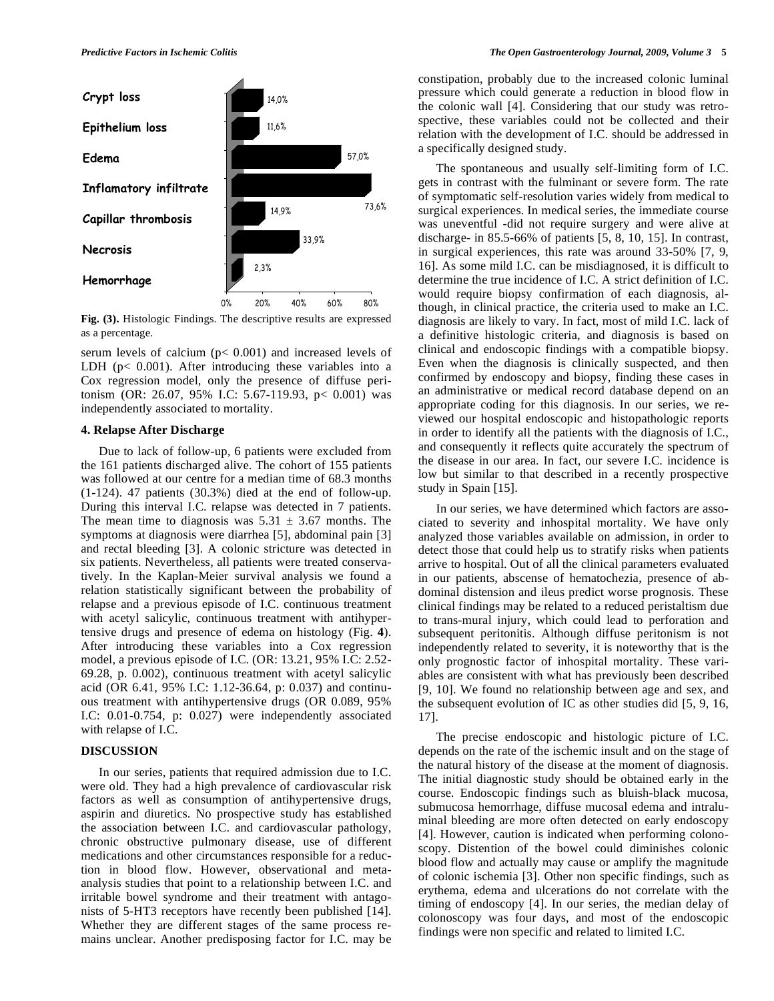

**Fig. (3).** Histologic Findings. The descriptive results are expressed as a percentage.

serum levels of calcium (p< 0.001) and increased levels of LDH (p< 0.001). After introducing these variables into a Cox regression model, only the presence of diffuse peritonism (OR: 26.07, 95% I.C: 5.67-119.93, p< 0.001) was independently associated to mortality.

# **4. Relapse After Discharge**

 Due to lack of follow-up, 6 patients were excluded from the 161 patients discharged alive. The cohort of 155 patients was followed at our centre for a median time of 68.3 months (1-124). 47 patients (30.3%) died at the end of follow-up. During this interval I.C. relapse was detected in 7 patients. The mean time to diagnosis was  $5.31 \pm 3.67$  months. The symptoms at diagnosis were diarrhea [5], abdominal pain [3] and rectal bleeding [3]. A colonic stricture was detected in six patients. Nevertheless, all patients were treated conservatively. In the Kaplan-Meier survival analysis we found a relation statistically significant between the probability of relapse and a previous episode of I.C. continuous treatment with acetyl salicylic, continuous treatment with antihypertensive drugs and presence of edema on histology (Fig. **4**). After introducing these variables into a Cox regression model, a previous episode of I.C. (OR: 13.21, 95% I.C: 2.52- 69.28, p. 0.002), continuous treatment with acetyl salicylic acid (OR 6.41, 95% I.C: 1.12-36.64, p: 0.037) and continuous treatment with antihypertensive drugs (OR 0.089, 95% I.C: 0.01-0.754, p: 0.027) were independently associated with relapse of I.C.

# **DISCUSSION**

 In our series, patients that required admission due to I.C. were old. They had a high prevalence of cardiovascular risk factors as well as consumption of antihypertensive drugs, aspirin and diuretics. No prospective study has established the association between I.C. and cardiovascular pathology, chronic obstructive pulmonary disease, use of different medications and other circumstances responsible for a reduction in blood flow. However, observational and metaanalysis studies that point to a relationship between I.C. and irritable bowel syndrome and their treatment with antagonists of 5-HT3 receptors have recently been published [14]. Whether they are different stages of the same process remains unclear. Another predisposing factor for I.C. may be constipation, probably due to the increased colonic luminal pressure which could generate a reduction in blood flow in the colonic wall [4]. Considering that our study was retrospective, these variables could not be collected and their relation with the development of I.C. should be addressed in a specifically designed study.

 The spontaneous and usually self-limiting form of I.C. gets in contrast with the fulminant or severe form. The rate of symptomatic self-resolution varies widely from medical to surgical experiences. In medical series, the immediate course was uneventful -did not require surgery and were alive at discharge- in 85.5-66% of patients [5, 8, 10, 15]. In contrast, in surgical experiences, this rate was around 33-50% [7, 9, 16]. As some mild I.C. can be misdiagnosed, it is difficult to determine the true incidence of I.C. A strict definition of I.C. would require biopsy confirmation of each diagnosis, although, in clinical practice, the criteria used to make an I.C. diagnosis are likely to vary. In fact, most of mild I.C. lack of a definitive histologic criteria, and diagnosis is based on clinical and endoscopic findings with a compatible biopsy. Even when the diagnosis is clinically suspected, and then confirmed by endoscopy and biopsy, finding these cases in an administrative or medical record database depend on an appropriate coding for this diagnosis. In our series, we reviewed our hospital endoscopic and histopathologic reports in order to identify all the patients with the diagnosis of I.C., and consequently it reflects quite accurately the spectrum of the disease in our area. In fact, our severe I.C. incidence is low but similar to that described in a recently prospective study in Spain [15].

 In our series, we have determined which factors are associated to severity and inhospital mortality. We have only analyzed those variables available on admission, in order to detect those that could help us to stratify risks when patients arrive to hospital. Out of all the clinical parameters evaluated in our patients, abscense of hematochezia, presence of abdominal distension and ileus predict worse prognosis. These clinical findings may be related to a reduced peristaltism due to trans-mural injury, which could lead to perforation and subsequent peritonitis. Although diffuse peritonism is not independently related to severity, it is noteworthy that is the only prognostic factor of inhospital mortality. These variables are consistent with what has previously been described [9, 10]. We found no relationship between age and sex, and the subsequent evolution of IC as other studies did [5, 9, 16, 17].

 The precise endoscopic and histologic picture of I.C. depends on the rate of the ischemic insult and on the stage of the natural history of the disease at the moment of diagnosis. The initial diagnostic study should be obtained early in the course. Endoscopic findings such as bluish-black mucosa, submucosa hemorrhage, diffuse mucosal edema and intraluminal bleeding are more often detected on early endoscopy [4]. However, caution is indicated when performing colonoscopy. Distention of the bowel could diminishes colonic blood flow and actually may cause or amplify the magnitude of colonic ischemia [3]. Other non specific findings, such as erythema, edema and ulcerations do not correlate with the timing of endoscopy [4]. In our series, the median delay of colonoscopy was four days, and most of the endoscopic findings were non specific and related to limited I.C.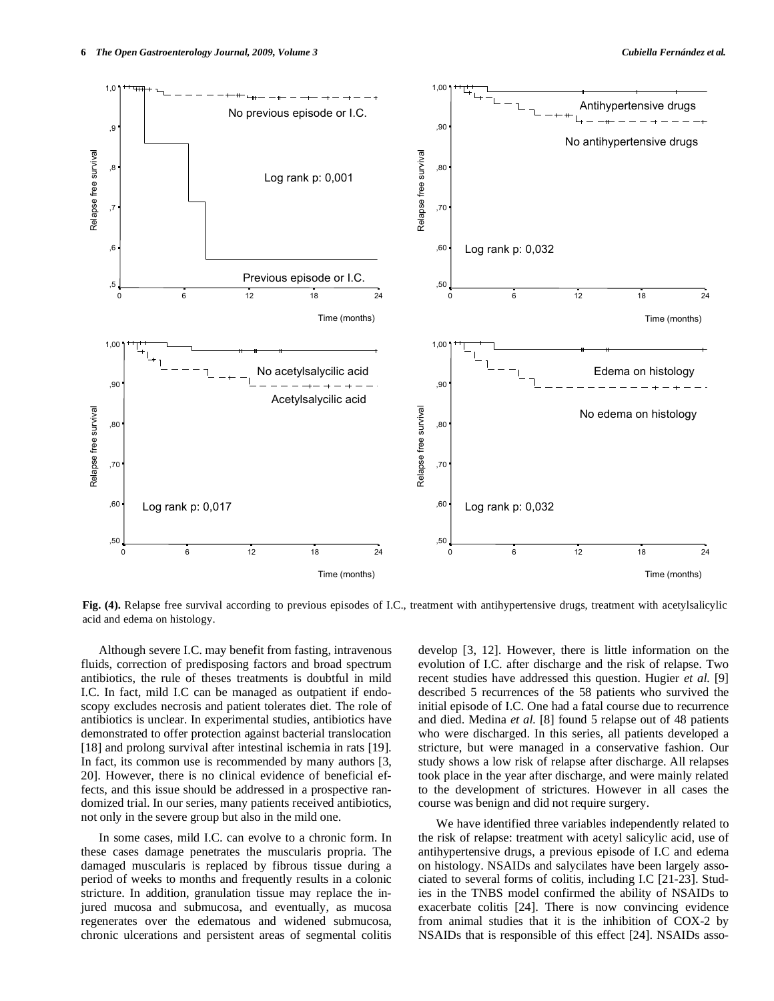

**Fig. (4).** Relapse free survival according to previous episodes of I.C., treatment with antihypertensive drugs, treatment with acetylsalicylic acid and edema on histology.

 Although severe I.C. may benefit from fasting, intravenous fluids, correction of predisposing factors and broad spectrum antibiotics, the rule of theses treatments is doubtful in mild I.C. In fact, mild I.C can be managed as outpatient if endoscopy excludes necrosis and patient tolerates diet. The role of antibiotics is unclear. In experimental studies, antibiotics have demonstrated to offer protection against bacterial translocation [18] and prolong survival after intestinal ischemia in rats [19]. In fact, its common use is recommended by many authors [3, 20]. However, there is no clinical evidence of beneficial effects, and this issue should be addressed in a prospective randomized trial. In our series, many patients received antibiotics, not only in the severe group but also in the mild one.

 In some cases, mild I.C. can evolve to a chronic form. In these cases damage penetrates the muscularis propria. The damaged muscularis is replaced by fibrous tissue during a period of weeks to months and frequently results in a colonic stricture. In addition, granulation tissue may replace the injured mucosa and submucosa, and eventually, as mucosa regenerates over the edematous and widened submucosa, chronic ulcerations and persistent areas of segmental colitis

develop [3, 12]. However, there is little information on the evolution of I.C. after discharge and the risk of relapse. Two recent studies have addressed this question. Hugier *et al.* [9] described 5 recurrences of the 58 patients who survived the initial episode of I.C. One had a fatal course due to recurrence and died. Medina *et al.* [8] found 5 relapse out of 48 patients who were discharged. In this series, all patients developed a stricture, but were managed in a conservative fashion. Our study shows a low risk of relapse after discharge. All relapses took place in the year after discharge, and were mainly related to the development of strictures. However in all cases the course was benign and did not require surgery.

 We have identified three variables independently related to the risk of relapse: treatment with acetyl salicylic acid, use of antihypertensive drugs, a previous episode of I.C and edema on histology. NSAIDs and salycilates have been largely associated to several forms of colitis, including I.C [21-23]. Studies in the TNBS model confirmed the ability of NSAIDs to exacerbate colitis [24]. There is now convincing evidence from animal studies that it is the inhibition of COX-2 by NSAIDs that is responsible of this effect [24]. NSAIDs asso-